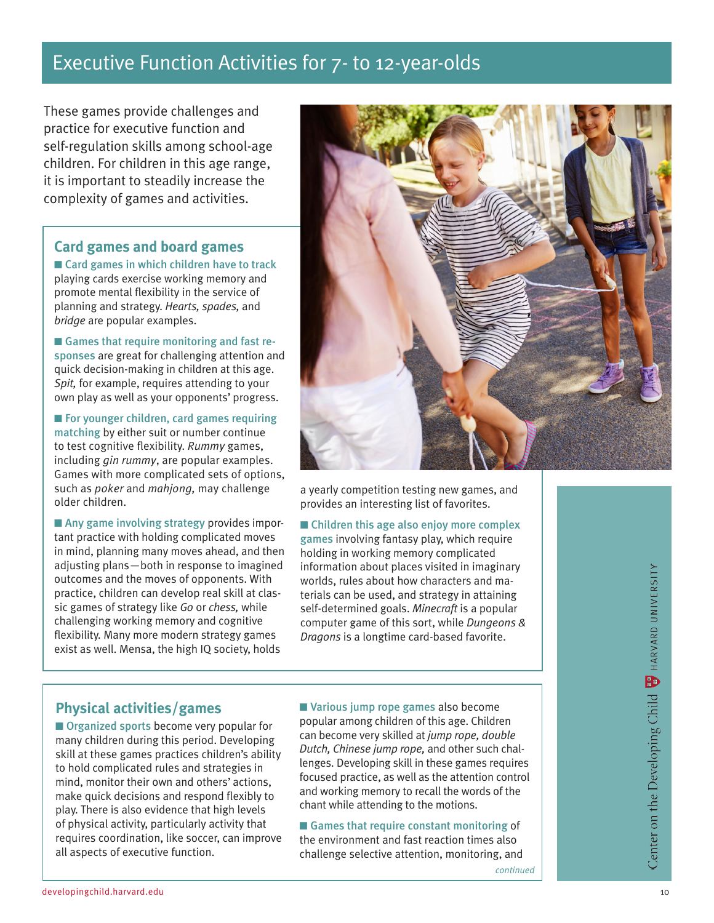# Executive Function Activities for 7- to 12-year-olds

These games provide challenges and practice for executive function and self-regulation skills among school-age children. For children in this age range, it is important to steadily increase the complexity of games and activities.

## **Card games and board games**

 $\blacksquare$  Card games in which children have to track playing cards exercise working memory and promote mental flexibility in the service of planning and strategy. *Hearts, spades,* and *bridge* are popular examples.

■ Games that require monitoring and fast responses are great for challenging attention and quick decision-making in children at this age. *Spit,* for example, requires attending to your own play as well as your opponents' progress.

 $\blacksquare$  For younger children, card games requiring matching by either suit or number continue to test cognitive flexibility. *Rummy* games, including *gin rummy*, are popular examples. Games with more complicated sets of options, such as *poker* and *mahjong,* may challenge older children.

 $\blacksquare$  Any game involving strategy provides important practice with holding complicated moves in mind, planning many moves ahead, and then adjusting plans—both in response to imagined outcomes and the moves of opponents. With practice, children can develop real skill at classic games of strategy like *Go* or *chess,* while challenging working memory and cognitive flexibility. Many more modern strategy games exist as well. Mensa, the high IQ society, holds



a yearly competition testing new games, and provides an interesting list of favorites.

■ Children this age also enjoy more complex games involving fantasy play, which require holding in working memory complicated information about places visited in imaginary worlds, rules about how characters and materials can be used, and strategy in attaining self-determined goals. *Minecraft* is a popular computer game of this sort, while *Dungeons & Dragons* is a longtime card-based favorite.

## **Physical activities/games**

■ Organized sports become very popular for many children during this period. Developing skill at these games practices children's ability to hold complicated rules and strategies in mind, monitor their own and others' actions, make quick decisions and respond flexibly to play. There is also evidence that high levels of physical activity, particularly activity that requires coordination, like soccer, can improve all aspects of executive function.

■ Various jump rope games also become popular among children of this age. Children can become very skilled at *jump rope, double Dutch, Chinese jump rope,* and other such challenges. Developing skill in these games requires focused practice, as well as the attention control and working memory to recall the words of the chant while attending to the motions.

 $\blacksquare$  Games that require constant monitoring of the environment and fast reaction times also challenge selective attention, monitoring, and

*continued*